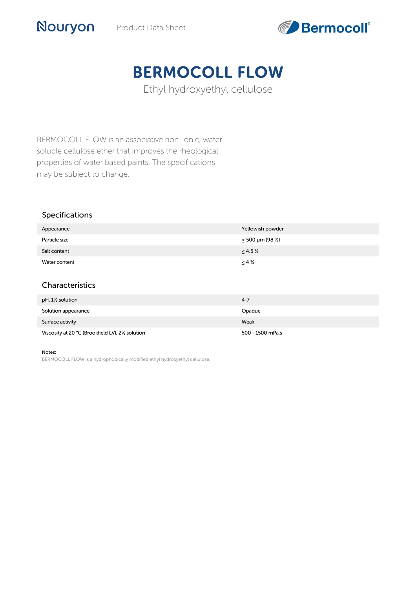

# BERMOCOLL FLOW

Ethyl hydroxyethyl cellulose

BERMOCOLL FLOW is an associative non-ionic, watersoluble cellulose ether that improves the rheological properties of water based paints. The specifications may be subject to change.

#### Specifications

Nouryon

| Appearance    | Yellowish powder     |
|---------------|----------------------|
| Particle size | $\leq 500$ µm (98 %) |
| Salt content  | $\leq 4.5\%$         |
| Water content | $\leq 4\%$           |
|               |                      |

# Characteristics

| pH, 1% solution                                 | $4 - 7$          |
|-------------------------------------------------|------------------|
| Solution appearance                             | Opaque           |
| Surface activity                                | Weak             |
| Viscosity at 20 °C (Brookfield LV), 2% solution | 500 - 1500 mPa.s |

#### Notes:

BERMOCOLL FLOW is a hydrophobically modified ethyl hydroxyethyl cellulose.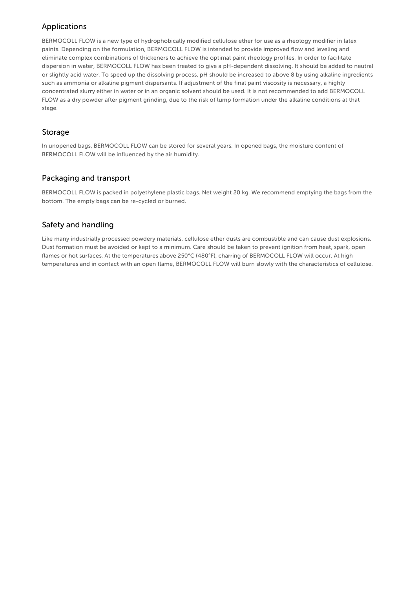# Applications

BERMOCOLL FLOW is a new type of hydrophobically modified cellulose ether for use as a rheology modifier in latex paints. Depending on the formulation, BERMOCOLL FLOW is intended to provide improved flow and leveling and eliminate complex combinations of thickeners to achieve the optimal paint rheology profiles. In order to facilitate dispersion in water, BERMOCOLL FLOW has been treated to give a pH-dependent dissolving. It should be added to neutral or slightly acid water. To speed up the dissolving process, pH should be increased to above 8 by using alkaline ingredients such as ammonia or alkaline pigment dispersants. If adjustment of the final paint viscosity is necessary, a highly concentrated slurry either in water or in an organic solvent should be used. It is not recommended to add BERMOCOLL FLOW as a dry powder after pigment grinding, due to the risk of lump formation under the alkaline conditions at that stage.

#### Storage

In unopened bags, BERMOCOLL FLOW can be stored for several years. In opened bags, the moisture content of BERMOCOLL FLOW will be influenced by the air humidity.

### Packaging and transport

BERMOCOLL FLOW is packed in polyethylene plastic bags. Net weight 20 kg. We recommend emptying the bags from the bottom. The empty bags can be re-cycled or burned.

# Safety and handling

Like many industrially processed powdery materials, cellulose ether dusts are combustible and can cause dust explosions. Dust formation must be avoided or kept to a minimum. Care should be taken to prevent ignition from heat, spark, open flames or hot surfaces. At the temperatures above 250°C (480°F), charring of BERMOCOLL FLOW will occur. At high temperatures and in contact with an open flame, BERMOCOLL FLOW will burn slowly with the characteristics of cellulose.